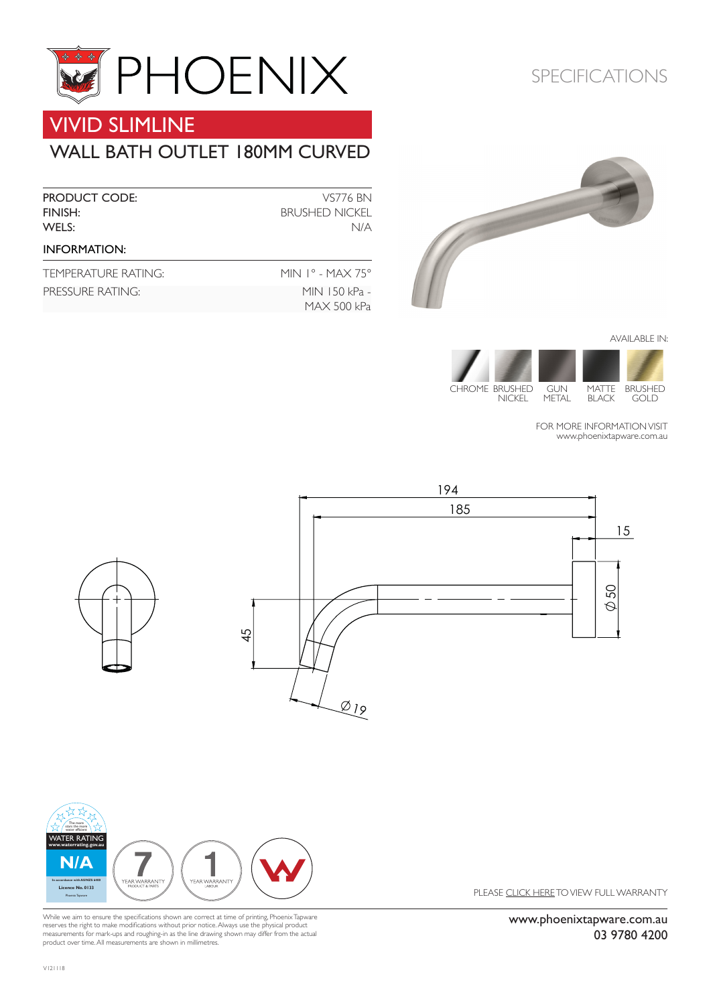

# VIVID SLIMLINE

### WALL BATH OUTLET 180MM CURVED

| <b>PRODUCT CODE:</b><br>FINISH:<br>WELS: | <b>VS776 BN</b><br><b>BRUSHED NICKEL</b><br>N/A |
|------------------------------------------|-------------------------------------------------|
| <b>INFORMATION:</b>                      |                                                 |
| TEMPERATURE RATING:                      | MIN $1^{\circ}$ - MAX 75 $^{\circ}$             |
| PRESSURE RATING:                         | MIN 150 kPa -                                   |

MAX 500 kPa

#### SPECIFICATIONS



AVAILABLE IN:



FOR MORE INFORMATION VISIT [www.phoenixtapware.com.](http://www.phoenixtapware.com.au/)au







While we aim to ensure the specifications shown are correct at time of printing, Phoenix Tapware reserves the right to make modifications without prior notice. Always use the physical product measurements for mark-ups and roughing-in as the line drawing shown may differ from the actual product over time. All measurements are shown in millimetres.

PLEASE [CLICK HERE](http://www.phoenixtapware.com.au/warranty/) TO VIEW FULL WARRANTY

[www.phoenixtapware.com.au](http://www.phoenixtapware.com.au/) 03 9780 4200